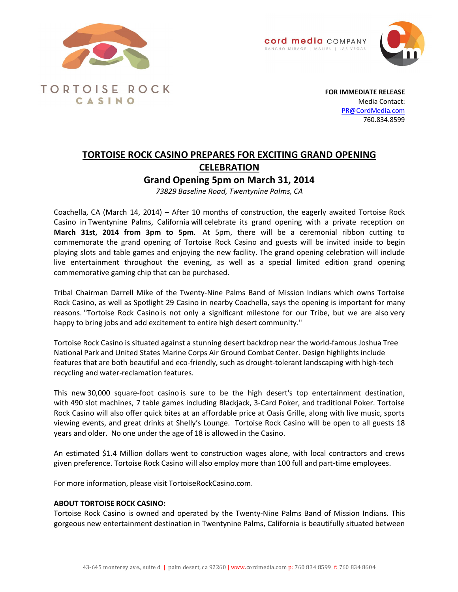





**TORTOISE ROCK** CASINO

**FOR IMMEDIATE RELEASE** Media Contact: PR@CordMedia.com 760.834.8599

## **TORTOISE ROCK CASINO PREPARES FOR EXCITING GRAND OPENING CELEBRATION**

**Grand Opening 5pm on March 31, 2014**

*73829 Baseline Road, Twentynine Palms, CA*

Coachella, CA (March 14, 2014) – After 10 months of construction, the eagerly awaited Tortoise Rock Casino in Twentynine Palms, California will celebrate its grand opening with a private reception on **March 31st, 2014 from 3pm to 5pm**. At 5pm, there will be a ceremonial ribbon cutting to commemorate the grand opening of Tortoise Rock Casino and guests will be invited inside to begin playing slots and table games and enjoying the new facility. The grand opening celebration will include live entertainment throughout the evening, as well as a special limited edition grand opening commemorative gaming chip that can be purchased.

Tribal Chairman Darrell Mike of the Twenty-Nine Palms Band of Mission Indians which owns Tortoise Rock Casino, as well as Spotlight 29 Casino in nearby Coachella, says the opening is important for many reasons. "Tortoise Rock Casino is not only a significant milestone for our Tribe, but we are also very happy to bring jobs and add excitement to entire high desert community."

Tortoise Rock Casino is situated against a stunning desert backdrop near the world-famous Joshua Tree National Park and United States Marine Corps Air Ground Combat Center. Design highlights include features that are both beautiful and eco-friendly, such as drought-tolerant landscaping with high-tech recycling and water-reclamation features.

This new 30,000 square-foot casino is sure to be the high desert's top entertainment destination, with 490 slot machines, 7 table games including Blackjack, 3-Card Poker, and traditional Poker. Tortoise Rock Casino will also offer quick bites at an affordable price at Oasis Grille, along with live music, sports viewing events, and great drinks at Shelly's Lounge. Tortoise Rock Casino will be open to all guests 18 years and older. No one under the age of 18 is allowed in the Casino.

An estimated \$1.4 Million dollars went to construction wages alone, with local contractors and crews given preference. Tortoise Rock Casino will also employ more than 100 full and part-time employees.

For more information, please visit TortoiseRockCasino.com.

## **ABOUT TORTOISE ROCK CASINO:**

Tortoise Rock Casino is owned and operated by the Twenty-Nine Palms Band of Mission Indians. This gorgeous new entertainment destination in Twentynine Palms, California is beautifully situated between